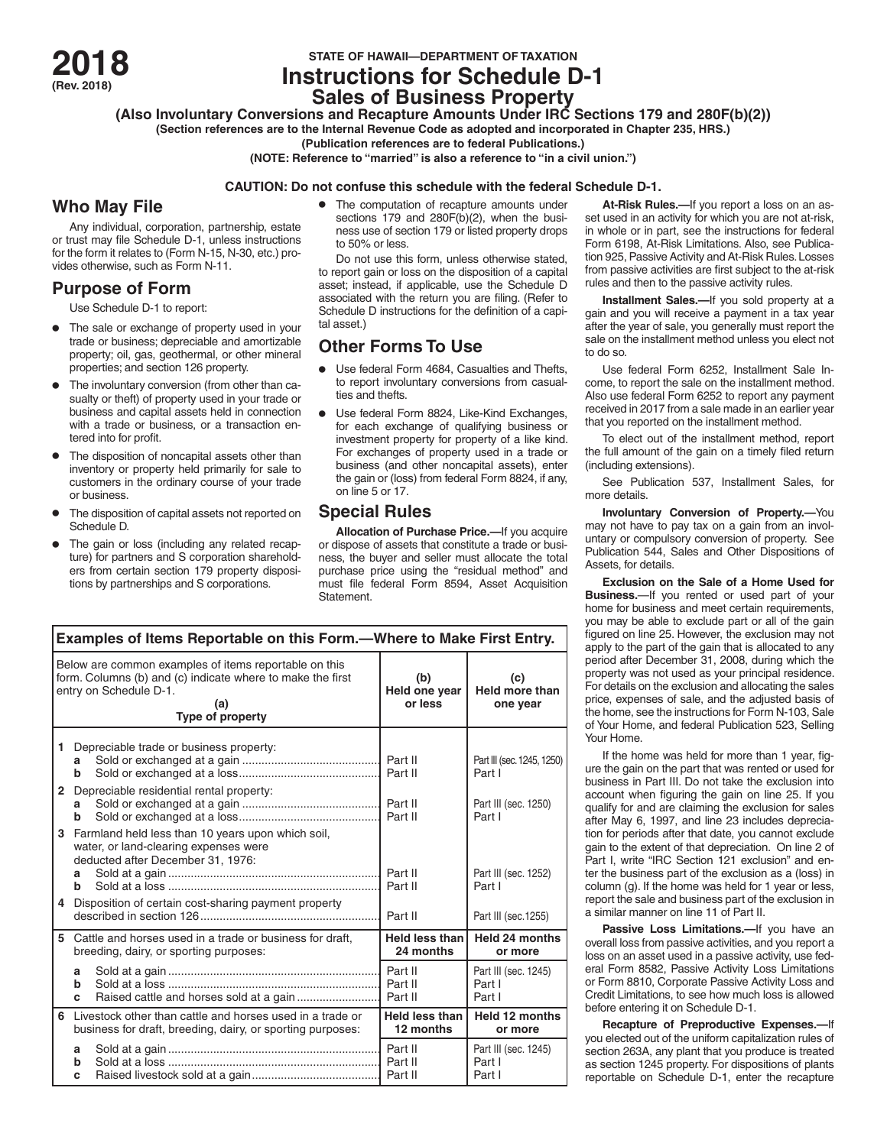**STATE OF HAWAII—DEPARTMENT OF TAXATION 2018 (Rev. 2018) Instructions for Schedule D-1**

# **Sales of Business Property**

**(Also Involuntary Conversions and Recapture Amounts Under IRC Sections 179 and 280F(b)(2))**

**(Section references are to the Internal Revenue Code as adopted and incorporated in Chapter 235, HRS.)**

**(Publication references are to federal Publications.)**

**(NOTE: Reference to "married" is also a reference to "in a civil union.")**

### **CAUTION: Do not confuse this schedule with the federal Schedule D-1.**

## **Who May File**

Any individual, corporation, partnership, estate or trust may file Schedule D-1, unless instructions for the form it relates to (Form N-15, N-30, etc.) provides otherwise, such as Form N-11.

## **Purpose of Form**

Use Schedule D-1 to report:

- The sale or exchange of property used in your trade or business; depreciable and amortizable property; oil, gas, geothermal, or other mineral properties; and section 126 property.
- The involuntary conversion (from other than casualty or theft) of property used in your trade or business and capital assets held in connection with a trade or business, or a transaction entered into for profit.
- The disposition of noncapital assets other than inventory or property held primarily for sale to customers in the ordinary course of your trade or business.
- The disposition of capital assets not reported on Schedule D.
- The gain or loss (including any related recapture) for partners and S corporation shareholders from certain section 179 property dispositions by partnerships and S corporations.

• The computation of recapture amounts under sections 179 and 280F(b)(2), when the business use of section 179 or listed property drops to 50% or less.

Do not use this form, unless otherwise stated, to report gain or loss on the disposition of a capital asset; instead, if applicable, use the Schedule D associated with the return you are filing. (Refer to Schedule D instructions for the definition of a capital asset.)

## **Other Forms To Use**

- Use federal Form 4684, Casualties and Thefts, to report involuntary conversions from casualties and thefts.
- Use federal Form 8824, Like-Kind Exchanges, for each exchange of qualifying business or investment property for property of a like kind. For exchanges of property used in a trade or business (and other noncapital assets), enter the gain or (loss) from federal Form 8824, if any, on line 5 or 17.

## **Special Rules**

**Allocation of Purchase Price.—**If you acquire or dispose of assets that constitute a trade or business, the buyer and seller must allocate the total purchase price using the "residual method" and must file federal Form 8594, Asset Acquisition Statement.

| Examples of Items Reportable on this Form.-Where to Make First Entry.                                                                                                    |                                                      |                                                                                                                                 |                                    |                                          |
|--------------------------------------------------------------------------------------------------------------------------------------------------------------------------|------------------------------------------------------|---------------------------------------------------------------------------------------------------------------------------------|------------------------------------|------------------------------------------|
| Below are common examples of items reportable on this<br>form. Columns (b) and (c) indicate where to make the first<br>entry on Schedule D-1.<br>(a)<br>Type of property |                                                      |                                                                                                                                 | (b)<br>Held one year<br>or less    | (c)<br><b>Held more than</b><br>one year |
| 1                                                                                                                                                                        | а<br>b                                               | Depreciable trade or business property:                                                                                         |                                    | Part III (sec. 1245, 1250)<br>Part I     |
| $\mathbf{2}$                                                                                                                                                             | a<br>b                                               | Depreciable residential rental property:                                                                                        |                                    | Part III (sec. 1250)<br>Part I           |
| 3                                                                                                                                                                        | a<br>h                                               | Farmland held less than 10 years upon which soil,<br>water, or land-clearing expenses were<br>deducted after December 31, 1976: | Part II<br>Part II                 | Part III (sec. 1252)<br>Part I           |
| 4                                                                                                                                                                        | Disposition of certain cost-sharing payment property |                                                                                                                                 | Part II                            | Part III (sec.1255)                      |
| 5                                                                                                                                                                        |                                                      | Cattle and horses used in a trade or business for draft,<br>breeding, dairy, or sporting purposes:                              | <b>Held less than</b><br>24 months | <b>Held 24 months</b><br>or more         |
|                                                                                                                                                                          | a<br>b<br>c                                          |                                                                                                                                 | Part II<br>Part II                 | Part III (sec. 1245)<br>Part I<br>Part I |
| 6                                                                                                                                                                        |                                                      | Livestock other than cattle and horses used in a trade or<br>business for draft, breeding, dairy, or sporting purposes:         | <b>Held less than</b><br>12 months | Held 12 months<br>or more                |
|                                                                                                                                                                          | a<br>b<br>C                                          |                                                                                                                                 | Part II<br>Part II                 | Part III (sec. 1245)<br>Part I<br>Part I |

**At-Risk Rules.—**If you report a loss on an asset used in an activity for which you are not at-risk, in whole or in part, see the instructions for federal Form 6198, At-Risk Limitations. Also, see Publication 925, Passive Activity and At-Risk Rules. Losses from passive activities are first subject to the at-risk rules and then to the passive activity rules.

**Installment Sales.—**If you sold property at a gain and you will receive a payment in a tax year after the year of sale, you generally must report the sale on the installment method unless you elect not to do so.

Use federal Form 6252, Installment Sale Income, to report the sale on the installment method. Also use federal Form 6252 to report any payment received in 2017 from a sale made in an earlier year that you reported on the installment method.

To elect out of the installment method, report the full amount of the gain on a timely filed return (including extensions).

See Publication 537, Installment Sales, for more details.

**Involuntary Conversion of Property.—**You may not have to pay tax on a gain from an involuntary or compulsory conversion of property. See Publication 544, Sales and Other Dispositions of Assets, for details.

**Exclusion on the Sale of a Home Used for Business.**—If you rented or used part of your home for business and meet certain requirements. you may be able to exclude part or all of the gain figured on line 25. However, the exclusion may not apply to the part of the gain that is allocated to any period after December 31, 2008, during which the property was not used as your principal residence. For details on the exclusion and allocating the sales price, expenses of sale, and the adjusted basis of the home, see the instructions for Form N-103, Sale of Your Home, and federal Publication 523, Selling Your Home.

If the home was held for more than 1 year, figure the gain on the part that was rented or used for business in Part III. Do not take the exclusion into account when figuring the gain on line 25. If you qualify for and are claiming the exclusion for sales after May 6, 1997, and line 23 includes depreciation for periods after that date, you cannot exclude gain to the extent of that depreciation. On line 2 of Part I, write "IRC Section 121 exclusion" and enter the business part of the exclusion as a (loss) in column (g). If the home was held for 1 year or less, report the sale and business part of the exclusion in a similar manner on line 11 of Part II.

**Passive Loss Limitations.—If you have an** overall loss from passive activities, and you report a loss on an asset used in a passive activity, use federal Form 8582, Passive Activity Loss Limitations or Form 8810, Corporate Passive Activity Loss and Credit Limitations, to see how much loss is allowed before entering it on Schedule D-1.

**Recapture of Preproductive Expenses.—**If you elected out of the uniform capitalization rules of section 263A, any plant that you produce is treated as section 1245 property. For dispositions of plants reportable on Schedule D-1, enter the recapture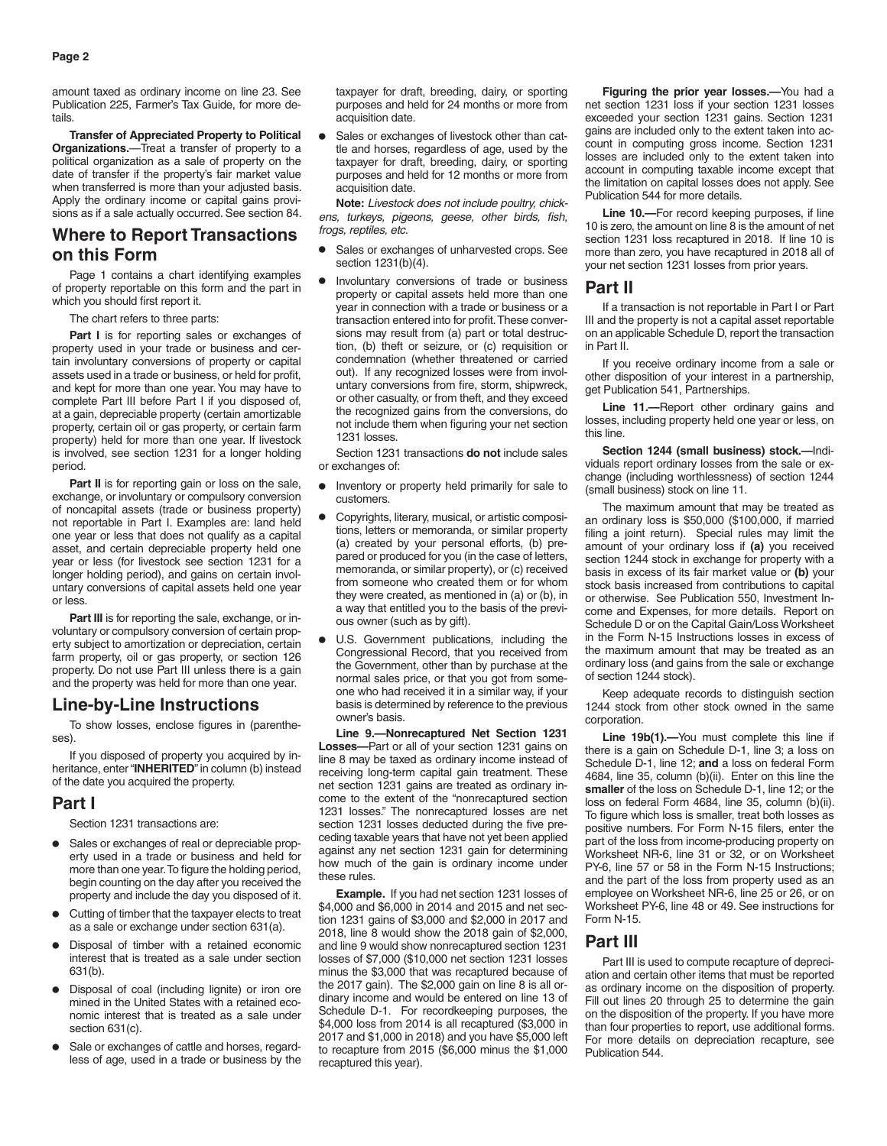amount taxed as ordinary income on line 23. See Publication 225, Farmer's Tax Guide, for more details.

**Transfer of Appreciated Property to Political Organizations.**—Treat a transfer of property to a political organization as a sale of property on the date of transfer if the property's fair market value when transferred is more than your adjusted basis. Apply the ordinary income or capital gains provisions as if a sale actually occurred. See section 84.

## **Where to Report Transactions on this Form**

Page 1 contains a chart identifying examples of property reportable on this form and the part in which you should first report it.

The chart refers to three parts:

Part I is for reporting sales or exchanges of property used in your trade or business and certain involuntary conversions of property or capital assets used in a trade or business, or held for profit, and kept for more than one year. You may have to complete Part III before Part I if you disposed of, at a gain, depreciable property (certain amortizable property, certain oil or gas property, or certain farm property) held for more than one year. If livestock is involved, see section 1231 for a longer holding period.

Part II is for reporting gain or loss on the sale, exchange, or involuntary or compulsory conversion of noncapital assets (trade or business property) not reportable in Part I. Examples are: land held one year or less that does not qualify as a capital asset, and certain depreciable property held one year or less (for livestock see section 1231 for a longer holding period), and gains on certain involuntary conversions of capital assets held one year or less.

Part III is for reporting the sale, exchange, or involuntary or compulsory conversion of certain property subject to amortization or depreciation, certain farm property, oil or gas property, or section 126 property. Do not use Part III unless there is a gain and the property was held for more than one year.

## **Line-by-Line Instructions**

To show losses, enclose figures in (parentheses).

If you disposed of property you acquired by inheritance, enter "**INHERITED**" in column (b) instead of the date you acquired the property.

### **Part I**

Section 1231 transactions are:

- Sales or exchanges of real or depreciable property used in a trade or business and held for more than one year. To figure the holding period, begin counting on the day after you received the property and include the day you disposed of it.
- Cutting of timber that the taxpayer elects to treat as a sale or exchange under section 631(a).
- Disposal of timber with a retained economic interest that is treated as a sale under section 631(b).
- Disposal of coal (including lignite) or iron ore mined in the United States with a retained economic interest that is treated as a sale under section 631(c).
- Sale or exchanges of cattle and horses, regardless of age, used in a trade or business by the

taxpayer for draft, breeding, dairy, or sporting purposes and held for 24 months or more from acquisition date.

• Sales or exchanges of livestock other than cattle and horses, regardless of age, used by the taxpayer for draft, breeding, dairy, or sporting purposes and held for 12 months or more from acquisition date.

**Note:** *Livestock does not include poultry, chickens, turkeys, pigeons, geese, other birds, fish, frogs, reptiles, etc.*

- Sales or exchanges of unharvested crops. See section 1231(b)(4).
- Involuntary conversions of trade or business property or capital assets held more than one year in connection with a trade or business or a transaction entered into for profit. These conversions may result from (a) part or total destruction, (b) theft or seizure, or (c) requisition or condemnation (whether threatened or carried out). If any recognized losses were from involuntary conversions from fire, storm, shipwreck, or other casualty, or from theft, and they exceed the recognized gains from the conversions, do not include them when figuring your net section 1231 losses.

Section 1231 transactions **do not** include sales or exchanges of:

- Inventory or property held primarily for sale to customers.
- Copyrights, literary, musical, or artistic compositions, letters or memoranda, or similar property (a) created by your personal efforts, (b) prepared or produced for you (in the case of letters, memoranda, or similar property), or (c) received from someone who created them or for whom they were created, as mentioned in (a) or (b), in a way that entitled you to the basis of the previous owner (such as by gift).
- U.S. Government publications, including the Congressional Record, that you received from the Government, other than by purchase at the normal sales price, or that you got from someone who had received it in a similar way, if your basis is determined by reference to the previous owner's basis.

**Line 9.—Nonrecaptured Net Section 1231 Losses—**Part or all of your section 1231 gains on line 8 may be taxed as ordinary income instead of receiving long-term capital gain treatment. These net section 1231 gains are treated as ordinary income to the extent of the "nonrecaptured section 1231 losses." The nonrecaptured losses are net section 1231 losses deducted during the five preceding taxable years that have not yet been applied against any net section 1231 gain for determining how much of the gain is ordinary income under these rules.

**Example.** If you had net section 1231 losses of \$4,000 and \$6,000 in 2014 and 2015 and net section 1231 gains of \$3,000 and \$2,000 in 2017 and 2018, line 8 would show the 2018 gain of \$2,000, and line 9 would show nonrecaptured section 1231 losses of \$7,000 (\$10,000 net section 1231 losses minus the \$3,000 that was recaptured because of the 2017 gain). The \$2,000 gain on line 8 is all ordinary income and would be entered on line 13 of Schedule D-1. For recordkeeping purposes, the \$4,000 loss from 2014 is all recaptured (\$3,000 in 2017 and \$1,000 in 2018) and you have \$5,000 left to recapture from 2015 (\$6,000 minus the \$1,000 recaptured this year).

**Figuring the prior year losses.—**You had a net section 1231 loss if your section 1231 losses exceeded your section 1231 gains. Section 1231 gains are included only to the extent taken into account in computing gross income. Section 1231 losses are included only to the extent taken into account in computing taxable income except that the limitation on capital losses does not apply. See Publication 544 for more details.

**Line 10.—**For record keeping purposes, if line 10 is zero, the amount on line 8 is the amount of net section 1231 loss recaptured in 2018. If line 10 is more than zero, you have recaptured in 2018 all of your net section 1231 losses from prior years.

### **Part II**

If a transaction is not reportable in Part I or Part III and the property is not a capital asset reportable on an applicable Schedule D, report the transaction in Part II.

If you receive ordinary income from a sale or other disposition of your interest in a partnership, get Publication 541, Partnerships.

**Line 11.—**Report other ordinary gains and losses, including property held one year or less, on this line.

**Section 1244 (small business) stock.—**Individuals report ordinary losses from the sale or exchange (including worthlessness) of section 1244 (small business) stock on line 11.

The maximum amount that may be treated as an ordinary loss is \$50,000 (\$100,000, if married filing a joint return). Special rules may limit the amount of your ordinary loss if **(a)** you received section 1244 stock in exchange for property with a basis in excess of its fair market value or **(b)** your stock basis increased from contributions to capital or otherwise. See Publication 550, Investment Income and Expenses, for more details. Report on Schedule D or on the Capital Gain/Loss Worksheet in the Form N-15 Instructions losses in excess of the maximum amount that may be treated as an ordinary loss (and gains from the sale or exchange of section 1244 stock).

Keep adequate records to distinguish section 1244 stock from other stock owned in the same corporation.

Line 19b(1).-You must complete this line if there is a gain on Schedule D-1, line 3; a loss on Schedule D-1, line 12; **and** a loss on federal Form 4684, line 35, column (b)(ii). Enter on this line the **smaller** of the loss on Schedule D-1, line 12; or the loss on federal Form 4684, line 35, column (b)(ii). To figure which loss is smaller, treat both losses as positive numbers. For Form N-15 filers, enter the part of the loss from income-producing property on Worksheet NR-6, line 31 or 32, or on Worksheet PY-6, line 57 or 58 in the Form N-15 Instructions; and the part of the loss from property used as an employee on Worksheet NR-6, line 25 or 26, or on Worksheet PY-6, line 48 or 49. See instructions for Form N-15.

### **Part III**

Part III is used to compute recapture of depreciation and certain other items that must be reported as ordinary income on the disposition of property. Fill out lines 20 through 25 to determine the gain on the disposition of the property. If you have more than four properties to report, use additional forms. For more details on depreciation recapture, see Publication 544.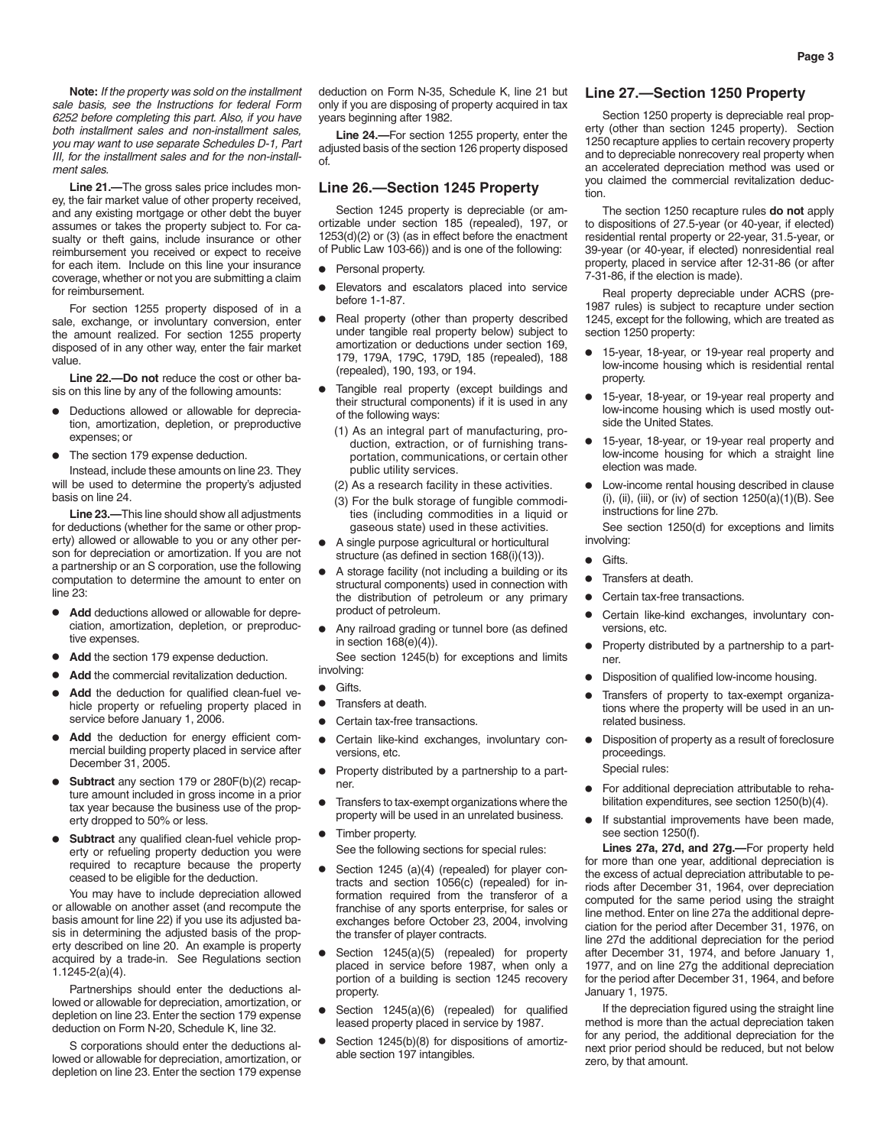**Note:** *If the property was sold on the installment sale basis, see the Instructions for federal Form 6252 before completing this part. Also, if you have both installment sales and non-installment sales, you may want to use separate Schedules D-1, Part III, for the installment sales and for the non-installment sales.*

**Line 21.—**The gross sales price includes money, the fair market value of other property received, and any existing mortgage or other debt the buyer assumes or takes the property subject to. For casualty or theft gains, include insurance or other reimbursement you received or expect to receive for each item. Include on this line your insurance coverage, whether or not you are submitting a claim for reimbursement.

For section 1255 property disposed of in a sale, exchange, or involuntary conversion, enter the amount realized. For section 1255 property disposed of in any other way, enter the fair market value.

**Line 22.—Do not** reduce the cost or other basis on this line by any of the following amounts:

- Deductions allowed or allowable for depreciation, amortization, depletion, or preproductive expenses; or
- The section 179 expense deduction.

Instead, include these amounts on line 23. They will be used to determine the property's adjusted basis on line 24.

**Line 23.—**This line should show all adjustments for deductions (whether for the same or other property) allowed or allowable to you or any other person for depreciation or amortization. If you are not a partnership or an S corporation, use the following computation to determine the amount to enter on line 23:

- **Add** deductions allowed or allowable for depreciation, amortization, depletion, or preproductive expenses.
- Add the section 179 expense deduction.
- Add the commercial revitalization deduction.
- Add the deduction for qualified clean-fuel vehicle property or refueling property placed in service before January 1, 2006.
- **Add** the deduction for energy efficient commercial building property placed in service after December 31, 2005.
- **Subtract** any section 179 or 280F(b)(2) recapture amount included in gross income in a prior tax year because the business use of the property dropped to 50% or less.
- **Subtract** any qualified clean-fuel vehicle property or refueling property deduction you were required to recapture because the property ceased to be eligible for the deduction.

You may have to include depreciation allowed or allowable on another asset (and recompute the basis amount for line 22) if you use its adjusted basis in determining the adjusted basis of the property described on line 20. An example is property acquired by a trade-in. See Regulations section 1.1245-2(a)(4).

Partnerships should enter the deductions allowed or allowable for depreciation, amortization, or depletion on line 23. Enter the section 179 expense deduction on Form N-20, Schedule K, line 32.

S corporations should enter the deductions allowed or allowable for depreciation, amortization, or depletion on line 23. Enter the section 179 expense deduction on Form N-35, Schedule K, line 21 but only if you are disposing of property acquired in tax years beginning after 1982.

**Line 24.—**For section 1255 property, enter the adjusted basis of the section 126 property disposed of.

### **Line 26.—Section 1245 Property**

Section 1245 property is depreciable (or amortizable under section 185 (repealed), 197, or 1253(d)(2) or (3) (as in effect before the enactment of Public Law 103-66)) and is one of the following:

- Personal property.
- Elevators and escalators placed into service before 1-1-87.
- Real property (other than property described under tangible real property below) subject to amortization or deductions under section 169, 179, 179A, 179C, 179D, 185 (repealed), 188 (repealed), 190, 193, or 194.
- Tangible real property (except buildings and their structural components) if it is used in any of the following ways:
	- (1) As an integral part of manufacturing, production, extraction, or of furnishing transportation, communications, or certain other public utility services.
	- (2) As a research facility in these activities.
	- (3) For the bulk storage of fungible commodities (including commodities in a liquid or gaseous state) used in these activities.
- A single purpose agricultural or horticultural structure (as defined in section 168(i)(13)).
- A storage facility (not including a building or its structural components) used in connection with the distribution of petroleum or any primary product of petroleum.
- Any railroad grading or tunnel bore (as defined in section  $168(e)(4)$ .

See section 1245(b) for exceptions and limits involving:

- Gifts.
- Transfers at death.
- Certain tax-free transactions.
- Certain like-kind exchanges, involuntary conversions, etc.
- Property distributed by a partnership to a partner.
- Transfers to tax-exempt organizations where the property will be used in an unrelated business.
- Timber property. See the following sections for special rules:
- Section 1245 (a)(4) (repealed) for player contracts and section 1056(c) (repealed) for information required from the transferor of a franchise of any sports enterprise, for sales or exchanges before October 23, 2004, involving the transfer of player contracts.
- Section 1245(a)(5) (repealed) for property placed in service before 1987, when only a portion of a building is section 1245 recovery property.
- Section 1245(a)(6) (repealed) for qualified leased property placed in service by 1987.
- Section 1245(b)(8) for dispositions of amortizable section 197 intangibles.

### **Line 27.—Section 1250 Property**

Section 1250 property is depreciable real property (other than section 1245 property). Section 1250 recapture applies to certain recovery property and to depreciable nonrecovery real property when an accelerated depreciation method was used or you claimed the commercial revitalization deduction.

The section 1250 recapture rules **do not** apply to dispositions of 27.5-year (or 40-year, if elected) residential rental property or 22-year, 31.5-year, or 39-year (or 40-year, if elected) nonresidential real property, placed in service after 12-31-86 (or after 7-31-86, if the election is made).

Real property depreciable under ACRS (pre-1987 rules) is subject to recapture under section 1245, except for the following, which are treated as section 1250 property:

- 15-year, 18-year, or 19-year real property and low-income housing which is residential rental property.
- 15-year, 18-year, or 19-year real property and low-income housing which is used mostly outside the United States.
- 15-year, 18-year, or 19-year real property and low-income housing for which a straight line election was made.
- Low-income rental housing described in clause (i), (ii), (iii), or (iv) of section 1250(a)(1)(B). See instructions for line 27b.

See section 1250(d) for exceptions and limits involving:

- Gifts.
- Transfers at death.
- Certain tax-free transactions.
- Certain like-kind exchanges, involuntary conversions, etc.
- Property distributed by a partnership to a partner.
- Disposition of qualified low-income housing.
- Transfers of property to tax-exempt organizations where the property will be used in an unrelated business.
- Disposition of property as a result of foreclosure proceedings.
	- Special rules:
- For additional depreciation attributable to rehabilitation expenditures, see section 1250(b)(4).
- If substantial improvements have been made, see section 1250(f).

**Lines 27a, 27d, and 27g.—**For property held for more than one year, additional depreciation is the excess of actual depreciation attributable to periods after December 31, 1964, over depreciation computed for the same period using the straight line method. Enter on line 27a the additional depreciation for the period after December 31, 1976, on line 27d the additional depreciation for the period after December 31, 1974, and before January 1, 1977, and on line 27g the additional depreciation for the period after December 31, 1964, and before January 1, 1975.

If the depreciation figured using the straight line method is more than the actual depreciation taken for any period, the additional depreciation for the next prior period should be reduced, but not below zero, by that amount.